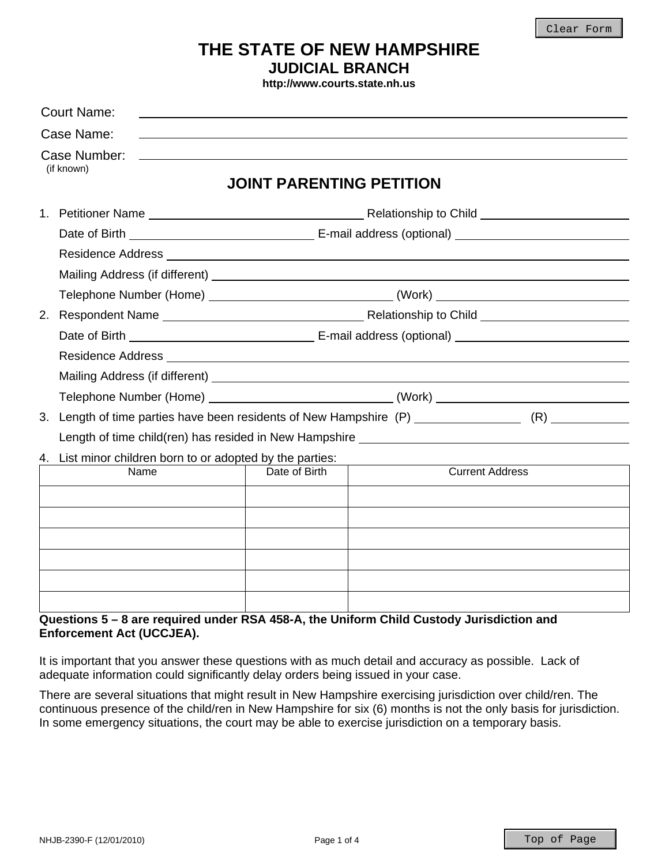# **THE STATE OF NEW HAMPSHIRE JUDICIAL BRANCH**

**http://www.courts.state.nh.us**

| <b>Court Name:</b>                                                                                   |                                                             |  |                        |
|------------------------------------------------------------------------------------------------------|-------------------------------------------------------------|--|------------------------|
| Case Name:                                                                                           | <u> 1989 - Johann Stoff, amerikansk politiker (d. 1989)</u> |  |                        |
| Case Number:<br>(if known)                                                                           | <b>JOINT PARENTING PETITION</b>                             |  |                        |
|                                                                                                      |                                                             |  |                        |
|                                                                                                      |                                                             |  |                        |
|                                                                                                      |                                                             |  |                        |
|                                                                                                      |                                                             |  |                        |
|                                                                                                      |                                                             |  |                        |
|                                                                                                      |                                                             |  |                        |
|                                                                                                      |                                                             |  |                        |
|                                                                                                      |                                                             |  |                        |
|                                                                                                      |                                                             |  |                        |
| Telephone Number (Home) ___________________________________(Work) __________________________________ |                                                             |  |                        |
|                                                                                                      |                                                             |  |                        |
| Length of time child(ren) has resided in New Hampshire __________________________                    |                                                             |  |                        |
| 4. List minor children born to or adopted by the parties:                                            |                                                             |  |                        |
| Name                                                                                                 | Date of Birth                                               |  | <b>Current Address</b> |
|                                                                                                      |                                                             |  |                        |
|                                                                                                      |                                                             |  |                        |
|                                                                                                      |                                                             |  |                        |
|                                                                                                      |                                                             |  |                        |
|                                                                                                      |                                                             |  |                        |
| Questions E., Q are required under DCA 450 A. the Uniferm Child Quetedy Indiation and                |                                                             |  |                        |

### **Questions 5 – 8 are required under RSA 458-A, the Uniform Child Custody Jurisdiction and Enforcement Act (UCCJEA).**

It is important that you answer these questions with as much detail and accuracy as possible. Lack of adequate information could significantly delay orders being issued in your case.

There are several situations that might result in New Hampshire exercising jurisdiction over child/ren. The continuous presence of the child/ren in New Hampshire for six (6) months is not the only basis for jurisdiction. In some emergency situations, the court may be able to exercise jurisdiction on a temporary basis.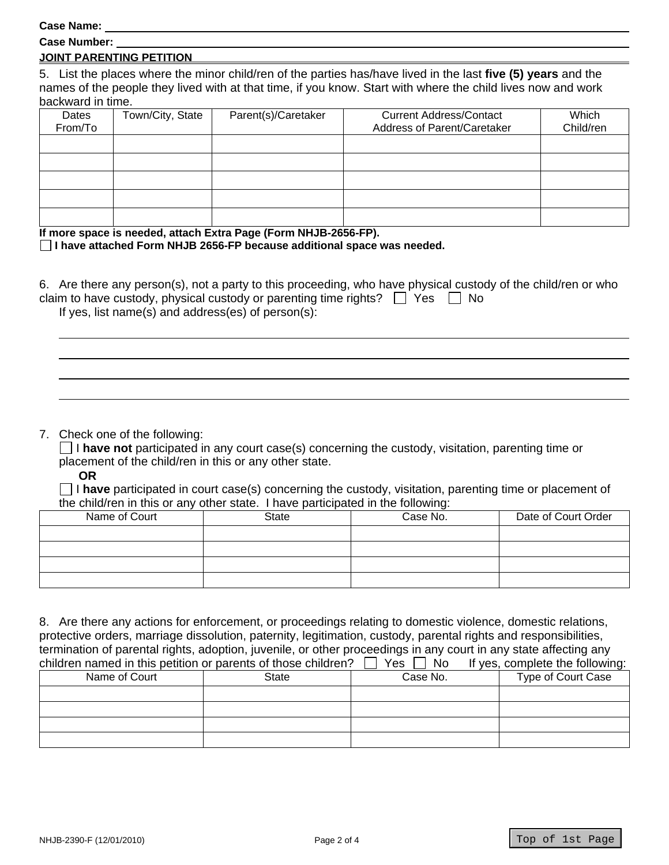**Case Name:** 

| <b>Case Number:</b> |  |
|---------------------|--|
|                     |  |

#### **JOINT PARENTING PETITION**

5. List the places where the minor child/ren of the parties has/have lived in the last **five (5) years** and the names of the people they lived with at that time, if you know. Start with where the child lives now and work backward in time.

| Dates<br>From/To | Town/City, State | Parent(s)/Caretaker | <b>Current Address/Contact</b><br>Address of Parent/Caretaker | Which<br>Child/ren |
|------------------|------------------|---------------------|---------------------------------------------------------------|--------------------|
|                  |                  |                     |                                                               |                    |
|                  |                  |                     |                                                               |                    |
|                  |                  |                     |                                                               |                    |
|                  |                  |                     |                                                               |                    |
|                  |                  |                     |                                                               |                    |
|                  |                  |                     |                                                               |                    |

**If more space is needed, attach Extra Page (Form NHJB-2656-FP).** 

**I have attached Form NHJB 2656-FP because additional space was needed.** 

6. Are there any person(s), not a party to this proceeding, who have physical custody of the child/ren or who claim to have custody, physical custody or parenting time rights?  $\Box$  Yes  $\Box$  No If yes, list name(s) and address(es) of person(s):

#### 7. Check one of the following:

 I **have not** participated in any court case(s) concerning the custody, visitation, parenting time or placement of the child/ren in this or any other state.

**OR**

 I **have** participated in court case(s) concerning the custody, visitation, parenting time or placement of the child/ren in this or any other state. I have participated in the following:

| Name of Court | <b>State</b> | Case No. | Date of Court Order |
|---------------|--------------|----------|---------------------|
|               |              |          |                     |
|               |              |          |                     |
|               |              |          |                     |
|               |              |          |                     |

8. Are there any actions for enforcement, or proceedings relating to domestic violence, domestic relations, protective orders, marriage dissolution, paternity, legitimation, custody, parental rights and responsibilities, termination of parental rights, adoption, juvenile, or other proceedings in any court in any state affecting any<br>children pared in this patition or parents of those children?  $\Box$  Yes  $\Box$  No. If yes, complete the followi  $\overline{\text{C}}$  of those children?  $\Box$  Yes

| children named in this petition or parents of those children?<br>Y es<br><b>NO</b> |       |          | If yes, complete the following: |
|------------------------------------------------------------------------------------|-------|----------|---------------------------------|
| Name of Court                                                                      | State | Case No. | Type of Court Case              |
|                                                                                    |       |          |                                 |
|                                                                                    |       |          |                                 |
|                                                                                    |       |          |                                 |
|                                                                                    |       |          |                                 |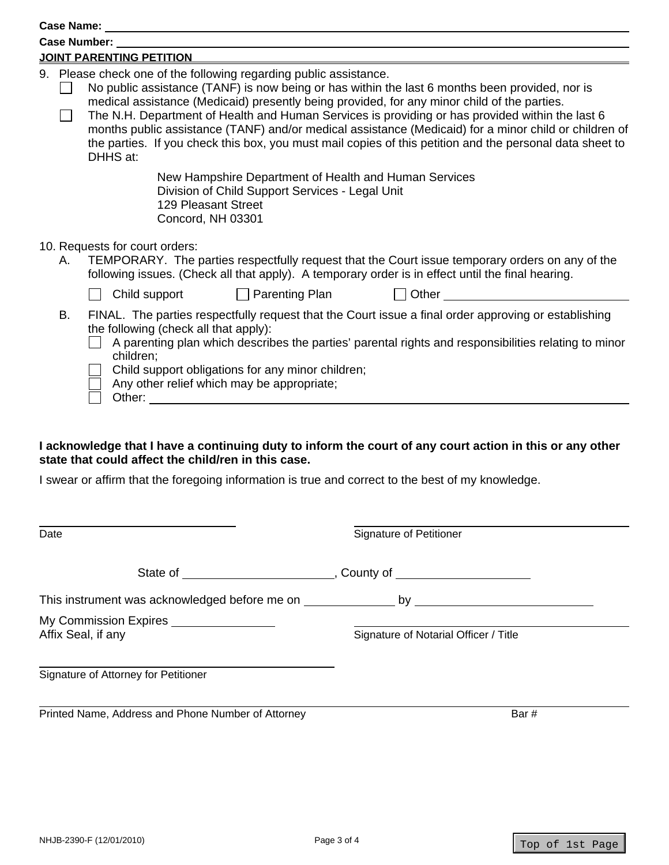| Case Number:                                                                                                                                                                                                                                                                                                                                                                                                                                                                                                                                                                                           |  |  |  |  |
|--------------------------------------------------------------------------------------------------------------------------------------------------------------------------------------------------------------------------------------------------------------------------------------------------------------------------------------------------------------------------------------------------------------------------------------------------------------------------------------------------------------------------------------------------------------------------------------------------------|--|--|--|--|
| JOINT PARENTING PETITION                                                                                                                                                                                                                                                                                                                                                                                                                                                                                                                                                                               |  |  |  |  |
| 9. Please check one of the following regarding public assistance.<br>No public assistance (TANF) is now being or has within the last 6 months been provided, nor is<br>medical assistance (Medicaid) presently being provided, for any minor child of the parties.<br>The N.H. Department of Health and Human Services is providing or has provided within the last 6<br>months public assistance (TANF) and/or medical assistance (Medicaid) for a minor child or children of<br>the parties. If you check this box, you must mail copies of this petition and the personal data sheet to<br>DHHS at: |  |  |  |  |
| New Hampshire Department of Health and Human Services<br>Division of Child Support Services - Legal Unit<br>129 Pleasant Street<br>Concord, NH 03301                                                                                                                                                                                                                                                                                                                                                                                                                                                   |  |  |  |  |
| 10. Requests for court orders:<br>TEMPORARY. The parties respectfully request that the Court issue temporary orders on any of the<br>following issues. (Check all that apply). A temporary order is in effect until the final hearing.                                                                                                                                                                                                                                                                                                                                                                 |  |  |  |  |
| Other <b>Communist Communist Communist Communist Communist Communist Communist Communist Communist Communist Communist Communist Communist Communist Communist Communist Communist Communist Communist Communist Communist Commu</b><br>$\Box$ Parenting Plan<br>Child support                                                                                                                                                                                                                                                                                                                         |  |  |  |  |
| FINAL. The parties respectfully request that the Court issue a final order approving or establishing<br>the following (check all that apply):<br>A parenting plan which describes the parties' parental rights and responsibilities relating to minor<br>children;<br>Child support obligations for any minor children;<br>Any other relief which may be appropriate;                                                                                                                                                                                                                                  |  |  |  |  |
|                                                                                                                                                                                                                                                                                                                                                                                                                                                                                                                                                                                                        |  |  |  |  |

## **I acknowledge that I have a continuing duty to inform the court of any court action in this or any other state that could affect the child/ren in this case.**

I swear or affirm that the foregoing information is true and correct to the best of my knowledge.

| Date                                                                             | <b>Signature of Petitioner</b>        |
|----------------------------------------------------------------------------------|---------------------------------------|
|                                                                                  |                                       |
| This instrument was acknowledged before me on __________________ by ____________ |                                       |
| My Commission Expires ________________<br>Affix Seal, if any                     | Signature of Notarial Officer / Title |
| Signature of Attorney for Petitioner                                             |                                       |
| Printed Name, Address and Phone Number of Attorney                               | Bar#                                  |